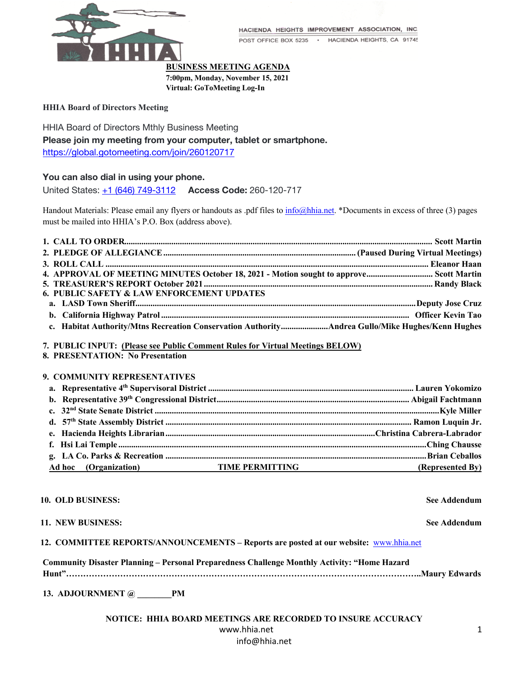

HACIENDA HEIGHTS IMPROVEMENT ASSOCIATION, INC.

POST OFFICE BOX 5235 · HACIENDA HEIGHTS, CA 91745

## **BUSINESS MEETING AGENDA**

**7:00pm, Monday, November 15, 2021**

**Virtual: GoToMeeting Log-In**

## **HHIA Board of Directors Meeting**

HHIA Board of Directors Mthly Business Meeting **Please join my meeting from your computer, tablet or smartphone.** https://global.gotomeeting.com/join/260120717

# **You can also dial in using your phone.**

United States: +1 (646) 749-3112 **Access Code:** 260-120-717

Handout Materials: Please email any flyers or handouts as .pdf files to info@hhia.net. \*Documents in excess of three (3) pages must be mailed into HHIA's P.O. Box (address above).

| 4. APPROVAL OF MEETING MINUTES October 18, 2021 - Motion sought to approve Scott Martin         |  |
|-------------------------------------------------------------------------------------------------|--|
|                                                                                                 |  |
| <b>6. PUBLIC SAFETY &amp; LAW ENFORCEMENT UPDATES</b>                                           |  |
|                                                                                                 |  |
|                                                                                                 |  |
| c. Habitat Authority/Mtns Recreation Conservation AuthorityAndrea Gullo/Mike Hughes/Kenn Hughes |  |

**7. PUBLIC INPUT: (Please see Public Comment Rules for Virtual Meetings BELOW)**

**8. PRESENTATION: No Presentation**

# **9. COMMUNITY REPRESENTATIVES**

| Ad hoc (Organization) TIME PERMITTING | (Represented By) |
|---------------------------------------|------------------|

### **10. OLD BUSINESS: See Addendum**

## **11. NEW BUSINESS: See Addendum**

| 12. COMMITTEE REPORTS/ANNOUNCEMENTS – Reports are posted at our website: www.hhia.net |  |
|---------------------------------------------------------------------------------------|--|
|                                                                                       |  |

**Community Disaster Planning – Personal Preparedness Challenge Monthly Activity: "Home Hazard** 

**Hunt"……………………………………………………………………………………………………………..Maury Edwards**

**13. ADJOURNMENT @ \_\_\_\_\_\_\_\_PM** 

| NOTICE:  HHIA BOARD MEETINGS ARE RECORDED TO INSURE ACCURACY |  |
|--------------------------------------------------------------|--|
| www.hhia.net                                                 |  |